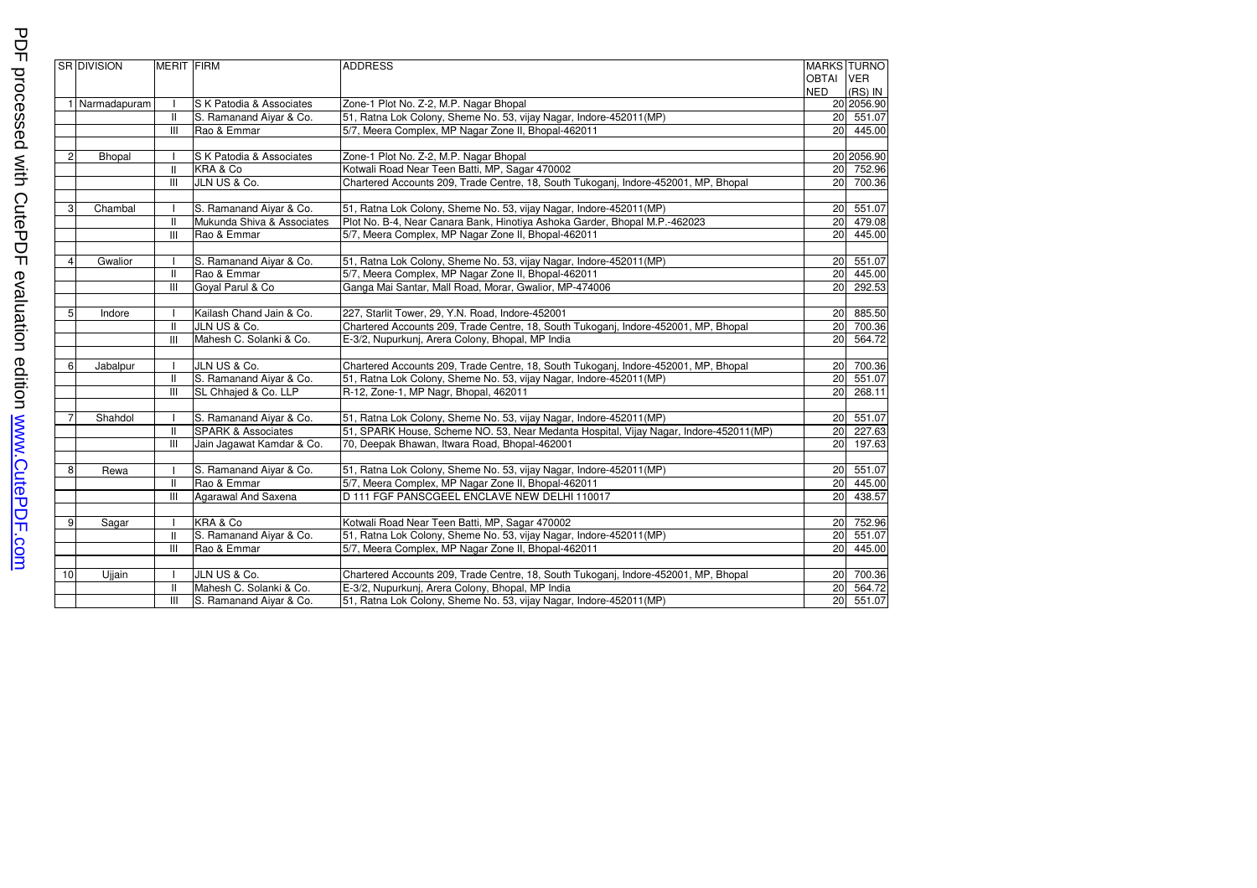|    | SR DIVISION  | <b>MERIT FIRM</b> |                               | <b>ADDRESS</b>                                                                        | OBTAI VER<br><b>NED</b> | <b>MARKS TURNO</b><br>(RS) IN |
|----|--------------|-------------------|-------------------------------|---------------------------------------------------------------------------------------|-------------------------|-------------------------------|
|    | Narmadapuram |                   | S K Patodia & Associates      | Zone-1 Plot No. Z-2, M.P. Nagar Bhopal                                                |                         | 20 2056.90                    |
|    |              | $\mathbf{H}$      | S. Ramanand Aiyar & Co.       | 51, Ratna Lok Colony, Sheme No. 53, vijay Nagar, Indore-452011(MP)                    |                         | 20 551.07                     |
|    |              | $\mathbf{III}$    | Rao & Emmar                   | 5/7, Meera Complex, MP Nagar Zone II, Bhopal-462011                                   |                         | 20 445.00                     |
|    |              |                   |                               |                                                                                       |                         |                               |
|    | Bhopal       |                   | S K Patodia & Associates      | Zone-1 Plot No. Z-2, M.P. Nagar Bhopal                                                |                         | 20 2056.90                    |
|    |              | $\mathbf{I}$      | KRA & Co                      | Kotwali Road Near Teen Batti, MP, Sagar 470002                                        |                         | 20 752.96                     |
|    |              | $\mathbf{III}$    | JLN US & Co.                  | Chartered Accounts 209, Trade Centre, 18, South Tukoganj, Indore-452001, MP, Bhopal   |                         | 20 700.36                     |
| 3  | Chambal      |                   | S. Ramanand Aiyar & Co.       | 51, Ratna Lok Colony, Sheme No. 53, vijay Nagar, Indore-452011(MP)                    |                         | 20 551.07                     |
|    |              | Ш                 | Mukunda Shiva & Associates    | Plot No. B-4, Near Canara Bank, Hinotiya Ashoka Garder, Bhopal M.P.-462023            |                         | 20 479.08                     |
|    |              | $\mathbf{III}$    | Rao & Emmar                   | 5/7, Meera Complex, MP Nagar Zone II, Bhopal-462011                                   |                         | 20 445.00                     |
|    |              |                   |                               |                                                                                       |                         |                               |
|    | Gwalior      |                   | S. Ramanand Aiyar & Co.       | 51, Ratna Lok Colony, Sheme No. 53, vijay Nagar, Indore-452011(MP)                    |                         | 20 551.07                     |
|    |              | Ш                 | Rao & Emmar                   | 5/7, Meera Complex, MP Nagar Zone II, Bhopal-462011                                   |                         | 20 445.00                     |
|    |              | Ш                 | Goval Parul & Co              | Ganga Mai Santar, Mall Road, Morar, Gwalior, MP-474006                                |                         | 20 292.53                     |
|    |              |                   |                               |                                                                                       |                         |                               |
| 5  | Indore       | $\mathbf{I}$      | Kailash Chand Jain & Co.      | 227, Starlit Tower, 29, Y.N. Road, Indore-452001                                      |                         | 20 885.50                     |
|    |              | Ш                 | JLN US & Co.                  | Chartered Accounts 209, Trade Centre, 18, South Tukoganj, Indore-452001, MP, Bhopal   |                         | 20 700.36                     |
|    |              | Ш                 | Mahesh C. Solanki & Co.       | E-3/2, Nupurkunj, Arera Colony, Bhopal, MP India                                      |                         | 20 564.72                     |
| 6  | Jabalpur     |                   | JLN US & Co.                  | Chartered Accounts 209, Trade Centre, 18, South Tukoganj, Indore-452001, MP, Bhopal   | 20                      | 700.36                        |
|    |              | Ш                 | S. Ramanand Aiyar & Co.       | 51, Ratna Lok Colony, Sheme No. 53, vijay Nagar, Indore-452011(MP)                    |                         | 20 551.07                     |
|    |              | III               | SL Chhajed & Co. LLP          | R-12, Zone-1, MP Nagr, Bhopal, 462011                                                 | 20                      | 268.11                        |
|    | Shahdol      |                   | S. Ramanand Aiyar & Co.       | 51, Ratna Lok Colony, Sheme No. 53, vijay Nagar, Indore-452011(MP)                    |                         | 20 551.07                     |
|    |              | Ш                 | <b>SPARK &amp; Associates</b> | 51, SPARK House, Scheme NO. 53, Near Medanta Hospital, Vijay Nagar, Indore-452011(MP) |                         | 20 227.63                     |
|    |              | Ш                 | Jain Jagawat Kamdar & Co.     | 70, Deepak Bhawan, Itwara Road, Bhopal-462001                                         |                         | 20 197.63                     |
|    |              |                   |                               |                                                                                       |                         |                               |
| 8  | Rewa         |                   | S. Ramanand Aiyar & Co.       | 51, Ratna Lok Colony, Sheme No. 53, vijay Nagar, Indore-452011(MP)                    |                         | 20 551.07                     |
|    |              | Ш                 | Rao & Emmar                   | 5/7, Meera Complex, MP Nagar Zone II, Bhopal-462011                                   |                         | 20 445.00                     |
|    |              | Ш                 | Agarawal And Saxena           | D 111 FGF PANSCGEEL ENCLAVE NEW DELHI 110017                                          | 20                      | 438.57                        |
| 9  |              |                   | KRA & Co                      | Kotwali Road Near Teen Batti, MP, Sagar 470002                                        |                         | 20 752.96                     |
|    | Sagar        |                   | S. Ramanand Aiyar & Co.       |                                                                                       |                         |                               |
|    |              | Ш                 |                               | 51, Ratna Lok Colony, Sheme No. 53, vijay Nagar, Indore-452011(MP)                    |                         | 20 551.07<br>20 445.00        |
|    |              | Ш                 | Rao & Emmar                   | 5/7, Meera Complex, MP Nagar Zone II, Bhopal-462011                                   |                         |                               |
| 10 | Ujjain       |                   | JLN US & Co.                  | Chartered Accounts 209, Trade Centre, 18, South Tukoganj, Indore-452001, MP, Bhopal   |                         | 20 700.36                     |
|    |              | $\mathbf{H}$      | Mahesh C. Solanki & Co.       | E-3/2, Nupurkunj, Arera Colony, Bhopal, MP India                                      |                         | 20 564.72                     |
|    |              | III               | S. Ramanand Aivar & Co.       | 51, Ratna Lok Colony, Sheme No. 53, vijay Nagar, Indore-452011(MP)                    |                         | 20 551.07                     |